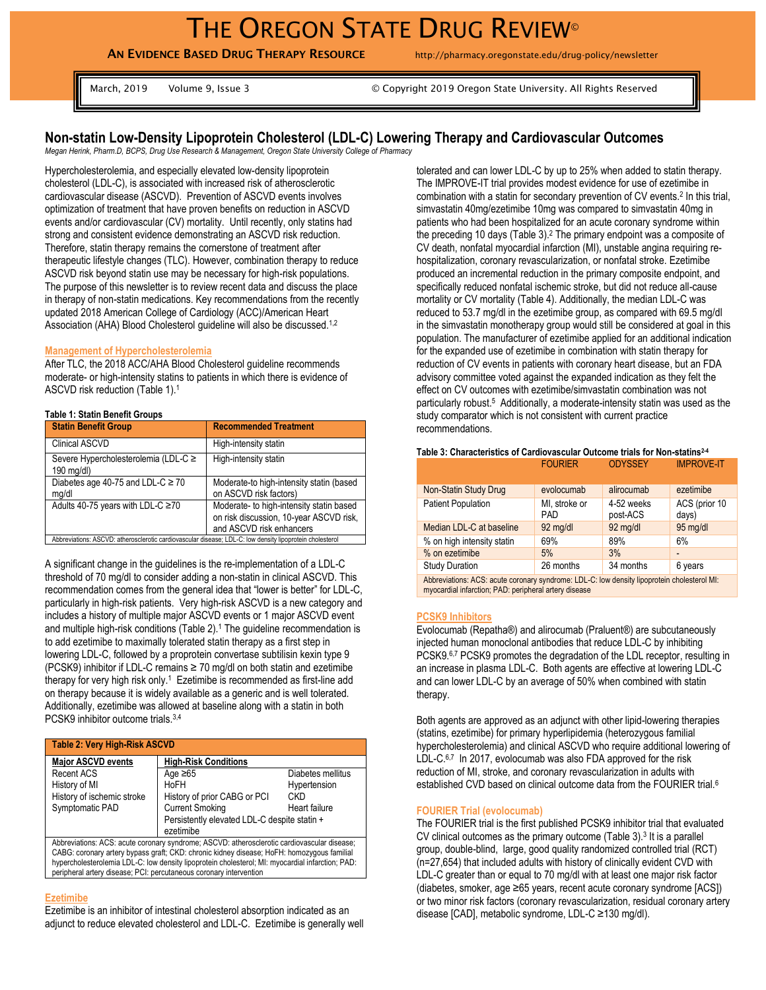**AN EVIDENCE BASED DRUG THERAPY RESOURCE** http://pharmacy.oregonstate.edu/drug-policy/newsletter

March, 2019 Volume 9, Issue 3 © Copyright 2019 Oregon State University. All Rights Reserved

# **Non-statin Low-Density Lipoprotein Cholesterol (LDL-C) Lowering Therapy and Cardiovascular Outcomes**

*Megan Herink, Pharm.D, BCPS, Drug Use Research & Management, Oregon State University College of Pharmacy*

Hypercholesterolemia, and especially elevated low-density lipoprotein cholesterol (LDL-C), is associated with increased risk of atherosclerotic cardiovascular disease (ASCVD). Prevention of ASCVD events involves optimization of treatment that have proven benefits on reduction in ASCVD events and/or cardiovascular (CV) mortality. Until recently, only statins had strong and consistent evidence demonstrating an ASCVD risk reduction. Therefore, statin therapy remains the cornerstone of treatment after therapeutic lifestyle changes (TLC). However, combination therapy to reduce ASCVD risk beyond statin use may be necessary for high-risk populations. The purpose of this newsletter is to review recent data and discuss the place in therapy of non-statin medications. Key recommendations from the recently updated 2018 American College of Cardiology (ACC)/American Heart Association (AHA) Blood Cholesterol guideline will also be discussed.<sup>1,2</sup>

### **Management of Hypercholesterolemia**

After TLC, the 2018 ACC/AHA Blood Cholesterol guideline recommends moderate- or high-intensity statins to patients in which there is evidence of ASCVD risk reduction (Table 1). 1

### **Table 1: Statin Benefit Groups**

| <b>Statin Benefit Group</b>                                                                              | <b>Recommended Treatment</b>                                                                                    |  |  |  |
|----------------------------------------------------------------------------------------------------------|-----------------------------------------------------------------------------------------------------------------|--|--|--|
| <b>Clinical ASCVD</b>                                                                                    | High-intensity statin                                                                                           |  |  |  |
| Severe Hypercholesterolemia (LDL-C ≥<br>$190$ mg/dl)                                                     | High-intensity statin                                                                                           |  |  |  |
| Diabetes age 40-75 and LDL-C $\geq$ 70<br>mg/dl                                                          | Moderate-to high-intensity statin (based<br>on ASCVD risk factors)                                              |  |  |  |
| Adults 40-75 years with LDL-C ≥70                                                                        | Moderate- to high-intensity statin based<br>on risk discussion, 10-year ASCVD risk,<br>and ASCVD risk enhancers |  |  |  |
| Abbreviations: ASCVD: atherosclerotic cardiovascular disease; LDL-C: low density lipoprotein cholesterol |                                                                                                                 |  |  |  |

A significant change in the guidelines is the re-implementation of a LDL-C threshold of 70 mg/dl to consider adding a non-statin in clinical ASCVD. This recommendation comes from the general idea that "lower is better" for LDL-C, particularly in high-risk patients. Very high-risk ASCVD is a new category and includes a history of multiple major ASCVD events or 1 major ASCVD event and multiple high-risk conditions (Table 2).<sup>1</sup> The guideline recommendation is to add ezetimibe to maximally tolerated statin therapy as a first step in lowering LDL-C, followed by a proprotein convertase subtilisin kexin type 9 (PCSK9) inhibitor if LDL-C remains ≥ 70 mg/dl on both statin and ezetimibe therapy for very high risk only.<sup>1</sup> Ezetimibe is recommended as first-line add on therapy because it is widely available as a generic and is well tolerated. Additionally, ezetimibe was allowed at baseline along with a statin in both PCSK9 inhibitor outcome trials.3,4

| Table 2: Very High-Risk ASCVD                                                               |                                              |                   |  |  |  |
|---------------------------------------------------------------------------------------------|----------------------------------------------|-------------------|--|--|--|
| <b>Major ASCVD events</b>                                                                   | <b>High-Risk Conditions</b>                  |                   |  |  |  |
| <b>Recent ACS</b>                                                                           | Age $\geq 65$                                | Diabetes mellitus |  |  |  |
| History of MI                                                                               | HoFH                                         | Hypertension      |  |  |  |
| History of ischemic stroke                                                                  | History of prior CABG or PCI                 | CKD               |  |  |  |
| Symptomatic PAD                                                                             | <b>Current Smoking</b>                       | Heart failure     |  |  |  |
|                                                                                             | Persistently elevated LDL-C despite statin + |                   |  |  |  |
|                                                                                             | ezetimibe                                    |                   |  |  |  |
| Abbreviations: ACS: acute coronary syndrome; ASCVD: atherosclerotic cardiovascular disease; |                                              |                   |  |  |  |
| CARC: coronany artory bynass graft: CKD: chronic kidnov disease: HoEH: bomozygous familial  |                                              |                   |  |  |  |

CABG: coronary artery bypass graft; CKD: chronic kidney disease; HoFH: homozygous familial hypercholesterolemia LDL-C: low density lipoprotein cholesterol; MI: myocardial infarction; PAD: peripheral artery disease; PCI: percutaneous coronary intervention

#### **Ezetimibe**

Ezetimibe is an inhibitor of intestinal cholesterol absorption indicated as an adjunct to reduce elevated cholesterol and LDL-C. Ezetimibe is generally well tolerated and can lower LDL-C by up to 25% when added to statin therapy. The IMPROVE-IT trial provides modest evidence for use of ezetimibe in combination with a statin for secondary prevention of CV events. 2 In this trial, simvastatin 40mg/ezetimibe 10mg was compared to simvastatin 40mg in patients who had been hospitalized for an acute coronary syndrome within the preceding 10 days (Table 3).<sup>2</sup> The primary endpoint was a composite of CV death, nonfatal myocardial infarction (MI), unstable angina requiring rehospitalization, coronary revascularization, or nonfatal stroke. Ezetimibe produced an incremental reduction in the primary composite endpoint, and specifically reduced nonfatal ischemic stroke, but did not reduce all-cause mortality or CV mortality (Table 4). Additionally, the median LDL-C was reduced to 53.7 mg/dl in the ezetimibe group, as compared with 69.5 mg/dl in the simvastatin monotherapy group would still be considered at goal in this population. The manufacturer of ezetimibe applied for an additional indication for the expanded use of ezetimibe in combination with statin therapy for reduction of CV events in patients with coronary heart disease, but an FDA advisory committee voted against the expanded indication as they felt the effect on CV outcomes with ezetimibe/simvastatin combination was not particularly robust. <sup>5</sup> Additionally, a moderate-intensity statin was used as the study comparator which is not consistent with current practice recommendations.

| בוווואזוכ ט. סוומומטנכווסנוטס טו סמוטוט ומסטטומו סטנטטוווכ נוומוס וטו ווטוו־סנמנוווס |                             |                        |                        |  |
|--------------------------------------------------------------------------------------|-----------------------------|------------------------|------------------------|--|
|                                                                                      | <b>FOURIER</b>              | <b>ODYSSEY</b>         | <b>IMPROVE-IT</b>      |  |
| Non-Statin Study Drug                                                                | evolocumab                  | alirocumab             | ezetimibe              |  |
| <b>Patient Population</b>                                                            | MI, stroke or<br><b>PAD</b> | 4-52 weeks<br>post-ACS | ACS (prior 10<br>days) |  |
| Median LDL-C at baseline                                                             | 92 mg/dl                    | 92 mg/dl               | 95 mg/dl               |  |
| % on high intensity statin                                                           | 69%                         | 89%                    | 6%                     |  |
| % on ezetimibe                                                                       | 5%                          | 3%                     |                        |  |
| <b>Study Duration</b>                                                                | 26 months                   | 34 months              | 6 years                |  |

**Table 3: Characteristics of Cardiovascular Outcome trials for Non-statins2-4**

Abbreviations: ACS: acute coronary syndrome: LDL-C: low density lipoprotein cholesterol MI: myocardial infarction; PAD: peripheral artery disease

#### **PCSK9 Inhibitors**

Evolocumab (Repatha®) and alirocumab (Praluent®) are subcutaneously injected human monoclonal antibodies that reduce LDL-C by inhibiting PCSK9.<sup>6,7</sup> PCSK9 promotes the degradation of the LDL receptor, resulting in an increase in plasma LDL-C. Both agents are effective at lowering LDL-C and can lower LDL-C by an average of 50% when combined with statin therapy.

Both agents are approved as an adjunct with other lipid-lowering therapies (statins, ezetimibe) for primary hyperlipidemia (heterozygous familial hypercholesterolemia) and clinical ASCVD who require additional lowering of LDL-C.<sup>6,7</sup> In 2017, evolocumab was also FDA approved for the risk reduction of MI, stroke, and coronary revascularization in adults with established CVD based on clinical outcome data from the FOURIER trial.<sup>6</sup>

#### **FOURIER Trial (evolocumab)**

The FOURIER trial is the first published PCSK9 inhibitor trial that evaluated CV clinical outcomes as the primary outcome (Table  $3$ ).<sup>3</sup> It is a parallel group, double-blind, large, good quality randomized controlled trial (RCT) (n=27,654) that included adults with history of clinically evident CVD with LDL-C greater than or equal to 70 mg/dl with at least one major risk factor (diabetes, smoker, age ≥65 years, recent acute coronary syndrome [ACS]) or two minor risk factors (coronary revascularization, residual coronary artery disease [CAD], metabolic syndrome, LDL-C ≥130 mg/dl).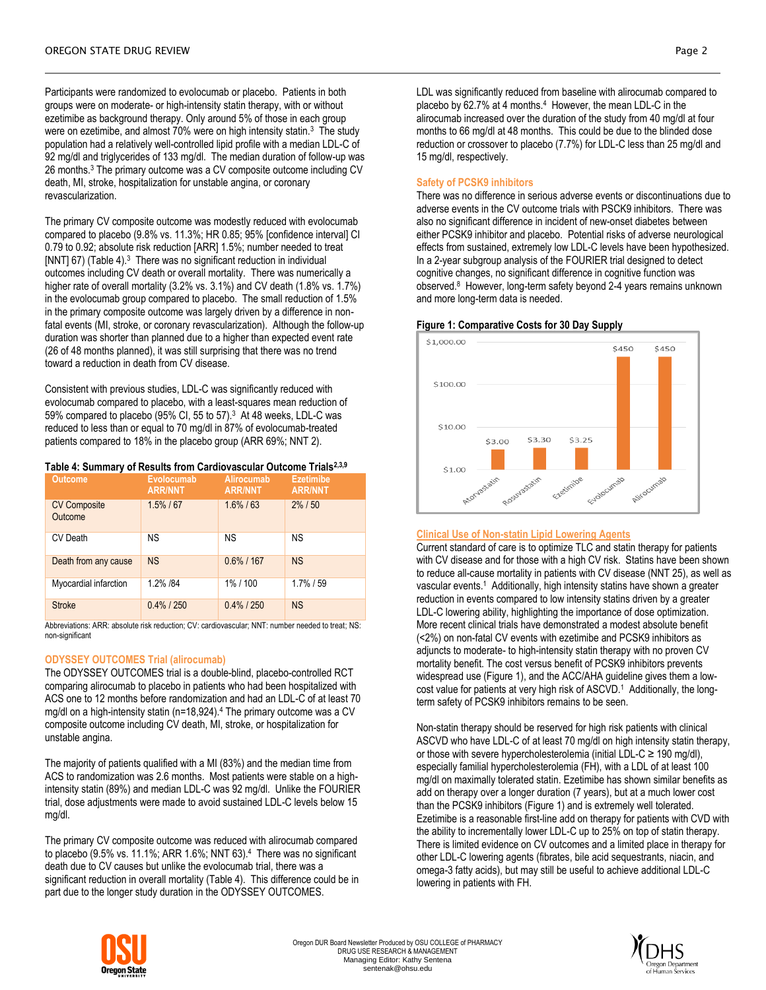Participants were randomized to evolocumab or placebo. Patients in both groups were on moderate- or high-intensity statin therapy, with or without ezetimibe as background therapy. Only around 5% of those in each group were on ezetimibe, and almost 70% were on high intensity statin.<sup>3</sup> The study population had a relatively well-controlled lipid profile with a median LDL-C of 92 mg/dl and triglycerides of 133 mg/dl. The median duration of follow-up was 26 months.<sup>3</sup> The primary outcome was a CV composite outcome including CV death, MI, stroke, hospitalization for unstable angina, or coronary revascularization.

The primary CV composite outcome was modestly reduced with evolocumab compared to placebo (9.8% vs. 11.3%; HR 0.85; 95% [confidence interval] CI 0.79 to 0.92; absolute risk reduction [ARR] 1.5%; number needed to treat [NNT] 67) (Table 4).<sup>3</sup> There was no significant reduction in individual outcomes including CV death or overall mortality. There was numerically a higher rate of overall mortality (3.2% vs. 3.1%) and CV death (1.8% vs. 1.7%) in the evolocumab group compared to placebo. The small reduction of 1.5% in the primary composite outcome was largely driven by a difference in nonfatal events (MI, stroke, or coronary revascularization). Although the follow-up duration was shorter than planned due to a higher than expected event rate (26 of 48 months planned), it was still surprising that there was no trend toward a reduction in death from CV disease.

Consistent with previous studies, LDL-C was significantly reduced with evolocumab compared to placebo, with a least-squares mean reduction of 59% compared to placebo (95% CI, 55 to 57).<sup>3</sup> At 48 weeks, LDL-C was reduced to less than or equal to 70 mg/dl in 87% of evolocumab-treated patients compared to 18% in the placebo group (ARR 69%; NNT 2).

#### **Table 4: Summary of Results from Cardiovascular Outcome Trials2,3,9**

| <b>Outcome</b>                 | Evolocumab<br><b>ARR/NNT</b> | Alirocumab<br><b>ARR/NNT</b> | <b>Ezetimibe</b><br><b>ARR/NNT</b> |
|--------------------------------|------------------------------|------------------------------|------------------------------------|
| <b>CV Composite</b><br>Outcome | $1.5\%$ / 67                 | $1.6\%$ / 63                 | $2\%$ / 50                         |
| CV Death                       | ΝS                           | <b>NS</b>                    | <b>NS</b>                          |
| Death from any cause           | <b>NS</b>                    | $0.6\%$ / 167                | <b>NS</b>                          |
| Myocardial infarction          | 1.2% /84                     | 1%/100                       | $1.7\%$ / 59                       |
| <b>Stroke</b>                  | $0.4\%$ / 250                | $0.4\%$ / 250                | <b>NS</b>                          |

Abbreviations: ARR: absolute risk reduction; CV: cardiovascular; NNT: number needed to treat; NS: non-significant

### **ODYSSEY OUTCOMES Trial (alirocumab)**

The ODYSSEY OUTCOMES trial is a double-blind, placebo-controlled RCT comparing alirocumab to placebo in patients who had been hospitalized with ACS one to 12 months before randomization and had an LDL-C of at least 70 mg/dl on a high-intensity statin (n=18,924). <sup>4</sup> The primary outcome was a CV composite outcome including CV death, MI, stroke, or hospitalization for unstable angina.

The majority of patients qualified with a MI (83%) and the median time from ACS to randomization was 2.6 months. Most patients were stable on a highintensity statin (89%) and median LDL-C was 92 mg/dl. Unlike the FOURIER trial, dose adjustments were made to avoid sustained LDL-C levels below 15 mg/dl.

The primary CV composite outcome was reduced with alirocumab compared to placebo (9.5% vs. 11.1%; ARR 1.6%; NNT 63). 4 There was no significant death due to CV causes but unlike the evolocumab trial, there was a significant reduction in overall mortality (Table 4). This difference could be in part due to the longer study duration in the ODYSSEY OUTCOMES.

LDL was significantly reduced from baseline with alirocumab compared to placebo by 62.7% at 4 months.<sup>4</sup> However, the mean LDL-C in the alirocumab increased over the duration of the study from 40 mg/dl at four months to 66 mg/dl at 48 months. This could be due to the blinded dose reduction or crossover to placebo (7.7%) for LDL-C less than 25 mg/dl and 15 mg/dl, respectively.

### **Safety of PCSK9 inhibitors**

There was no difference in serious adverse events or discontinuations due to adverse events in the CV outcome trials with PSCK9 inhibitors. There was also no significant difference in incident of new-onset diabetes between either PCSK9 inhibitor and placebo. Potential risks of adverse neurological effects from sustained, extremely low LDL-C levels have been hypothesized. In a 2-year subgroup analysis of the FOURIER trial designed to detect cognitive changes, no significant difference in cognitive function was observed.<sup>8</sup> However, long-term safety beyond 2-4 years remains unknown and more long-term data is needed.

### **Figure 1: Comparative Costs for 30 Day Supply**



### **Clinical Use of Non-statin Lipid Lowering Agents**

Current standard of care is to optimize TLC and statin therapy for patients with CV disease and for those with a high CV risk. Statins have been shown to reduce all-cause mortality in patients with CV disease (NNT 25), as well as vascular events.<sup>1</sup> Additionally, high intensity statins have shown a greater reduction in events compared to low intensity statins driven by a greater LDL-C lowering ability, highlighting the importance of dose optimization. More recent clinical trials have demonstrated a modest absolute benefit (<2%) on non-fatal CV events with ezetimibe and PCSK9 inhibitors as adjuncts to moderate- to high-intensity statin therapy with no proven CV mortality benefit. The cost versus benefit of PCSK9 inhibitors prevents widespread use (Figure 1), and the ACC/AHA guideline gives them a lowcost value for patients at very high risk of ASCVD.<sup>1</sup> Additionally, the longterm safety of PCSK9 inhibitors remains to be seen.

Non-statin therapy should be reserved for high risk patients with clinical ASCVD who have LDL-C of at least 70 mg/dl on high intensity statin therapy, or those with severe hypercholesterolemia (initial LDL-C ≥ 190 mg/dl), especially familial hypercholesterolemia (FH), with a LDL of at least 100 mg/dl on maximally tolerated statin. Ezetimibe has shown similar benefits as add on therapy over a longer duration (7 years), but at a much lower cost than the PCSK9 inhibitors (Figure 1) and is extremely well tolerated. Ezetimibe is a reasonable first-line add on therapy for patients with CVD with the ability to incrementally lower LDL-C up to 25% on top of statin therapy. There is limited evidence on CV outcomes and a limited place in therapy for other LDL-C lowering agents (fibrates, bile acid sequestrants, niacin, and omega-3 fatty acids), but may still be useful to achieve additional LDL-C lowering in patients with FH.